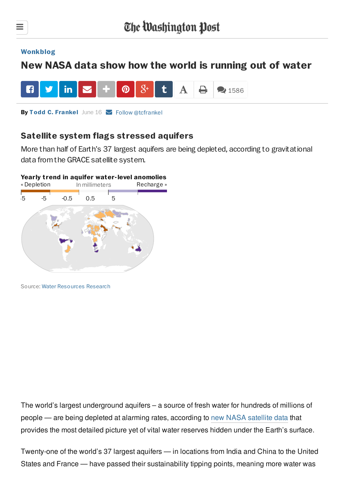#### **[Wonkblog](http://www.washingtonpost.com/blogs/wonkblog/)**

## **New NASA data show how the world is running out of water**



## **Satellite system flags stressed aquifers**

More than half of Earth's 37 largest aquifers are being depleted, according to gravitational data from the GRACE satellite system.



Source: Water Resources Research

The world's largest underground aquifers – a source of fresh water for hundreds of millions of people — are being depleted at alarming rates, according to new NASA [satellite](http://onlinelibrary.wiley.com/doi/10.1002/2015WR017349/abstract) data that provides the most detailed picture yet of vital water reserves hidden under the Earth's surface.

Twenty-one of the world's 37 largest aquifers — in locations from India and China to the United States and France — have passed their sustainability tipping points, meaning more water was

Ξ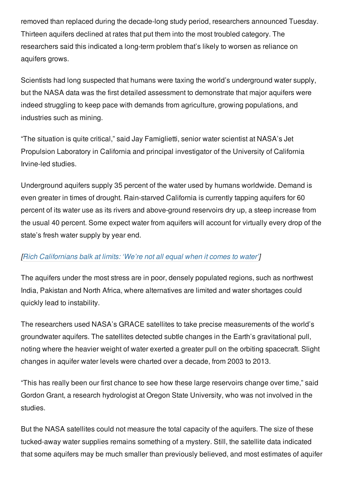removed than replaced during the decade-long study period, researchers announced Tuesday. Thirteen aquifers declined at rates that put them into the most troubled category. The researchers said this indicated a long-term problem that's likely to worsen as reliance on aquifers grows.

Scientists had long suspected that humans were taxing the world's underground water supply, but the NASA data was the first detailed assessment to demonstrate that major aquifers were indeed struggling to keep pace with demands from agriculture, growing populations, and industries such as mining.

"The situation is quite critical," said Jay Famiglietti, senior water scientist at NASA's Jet Propulsion Laboratory in California and principal investigator of the University of California Irvine-led studies.

Underground aquifers supply 35 percent of the water used by humans worldwide. Demand is even greater in times of drought. Rain-starved California is currently tapping aquifers for 60 percent of its water use as its rivers and above-ground reservoirs dry up, a steep increase from the usual 40 percent. Some expect water from aquifers will account for virtually every drop of the state's fresh water supply by year end.

## *[Rich [Californians](https://www.washingtonpost.com/national/rich-californians-youll-have-to-pry-the-hoses-from-our-cold-dead-hands/2015/06/13/fac6f998-0e39-11e5-9726-49d6fa26a8c6_story.html) balk at limits: 'We're not all equal when it comes to water']*

The aquifers under the most stress are in poor, densely populated regions, such as northwest India, Pakistan and North Africa, where alternatives are limited and water shortages could quickly lead to instability.

The researchers used NASA's GRACE satellites to take precise measurements of the world's groundwater aquifers. The satellites detected subtle changes in the Earth's gravitational pull, noting where the heavier weight of water exerted a greater pull on the orbiting spacecraft. Slight changes in aquifer water levels were charted over a decade, from 2003 to 2013.

"This has really been our first chance to see how these large reservoirs change over time," said Gordon Grant, a research hydrologist at Oregon State University, who was not involved in the studies.

But the NASA satellites could not measure the total capacity of the aquifers. The size of these tucked-away water supplies remains something of a mystery. Still, the satellite data indicated that some aquifers may be much smaller than previously believed, and most estimates of aquifer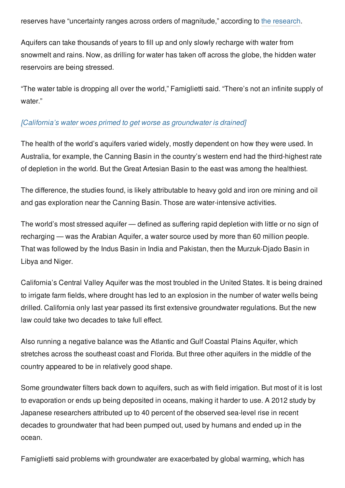reserves have "uncertainty ranges across orders of magnitude," according to the [research](http://onlinelibrary.wiley.com/doi/10.1002/2015WR017351/abstract).

Aquifers can take thousands of years to fill up and only slowly recharge with water from snowmelt and rains. Now, as drilling for water has taken off across the globe, the hidden water reservoirs are being stressed.

"The water table is dropping all over the world," Famiglietti said. "There's not an infinite supply of water."

## *[California's water woes primed to get worse as [groundwater](https://www.washingtonpost.com/business/economy/californias-water-woes-primed-to-get-worse-as-groundwater-is-drained/2015/04/02/bb6d2b0e-d965-11e4-b3f2-607bd612aeac_story.html) is drained]*

The health of the world's aquifers varied widely, mostly dependent on how they were used. In Australia, for example, the Canning Basin in the country's western end had the third-highest rate of depletion in the world. But the Great Artesian Basin to the east was among the healthiest.

The difference, the studies found, is likely attributable to heavy gold and iron ore mining and oil and gas exploration near the Canning Basin. Those are water-intensive activities.

The world's most stressed aquifer — defined as suffering rapid depletion with little or no sign of recharging — was the Arabian Aquifer, a water source used by more than 60 million people. That was followed by the Indus Basin in India and Pakistan, then the Murzuk-Djado Basin in Libya and Niger.

California's Central Valley Aquifer was the most troubled in the United States. It is being drained to irrigate farm fields, where drought has led to an explosion in the number of water wells being drilled. California only last year passed its first extensive groundwater regulations. But the new law could take two decades to take full effect.

Also running a negative balance was the Atlantic and Gulf Coastal Plains Aquifer, which stretches across the southeast coast and Florida. But three other aquifers in the middle of the country appeared to be in relatively good shape.

Some groundwater filters back down to aquifers, such as with field irrigation. But most of it is lost to evaporation or ends up being deposited in oceans, making it harder to use. A 2012 study by Japanese researchers attributed up to 40 percent of the observed sea-level rise in recent decades to groundwater that had been pumped out, used by humans and ended up in the ocean.

Famiglietti said problems with groundwater are exacerbated by global warming, which has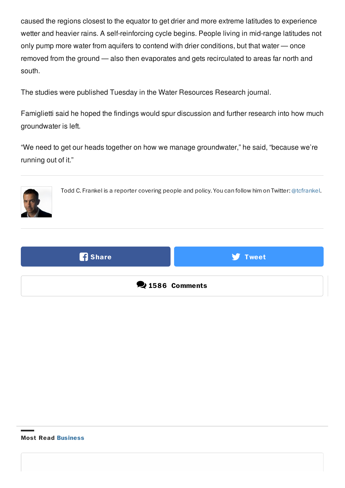caused the regions closest to the equator to get drier and more extreme latitudes to experience wetter and heavier rains. A self-reinforcing cycle begins. People living in mid-range latitudes not only pump more water from aquifers to contend with drier conditions, but that water — once removed from the ground — also then evaporates and gets recirculated to areas far north and south.

The studies were published Tuesday in the Water Resources Research journal.

Famiglietti said he hoped the findings would spur discussion and further research into how much groundwater is left.

"We need to get our heads together on how we manage groundwater," he said, "because we're running out of it."



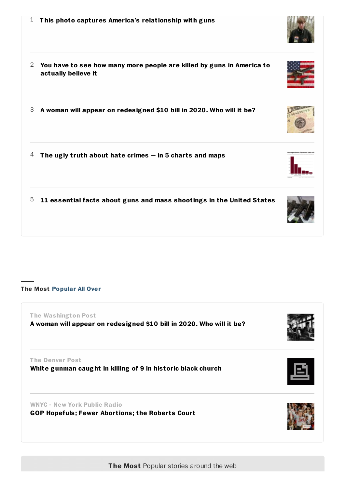| $\mathbf{1}$   | This photo captures America's relationship with guns                                         |  |
|----------------|----------------------------------------------------------------------------------------------|--|
| $\overline{2}$ | You have to see how many more people are killed by guns in America to<br>actually believe it |  |
| 3              | A woman will appear on redesigned \$10 bill in 2020. Who will it be?                         |  |
| 4              | The ugly truth about hate crimes $-$ in 5 charts and maps                                    |  |
| 5              | 11 essential facts about guns and mass shootings in the United States                        |  |

#### **The Most [Popular](//www.washingtonpost.com/themost?tid=themost_sb_header) All Over**

**The Washingt on Post A woman will appear on redesigned \$10 bill in 2020. Who will it be?**

**The Denver Post White gunman caught in killing of 9 in historic black church**

**WNYC - New York Public Radio GOP Hopefuls; Fewer Abortions; the Roberts Court**







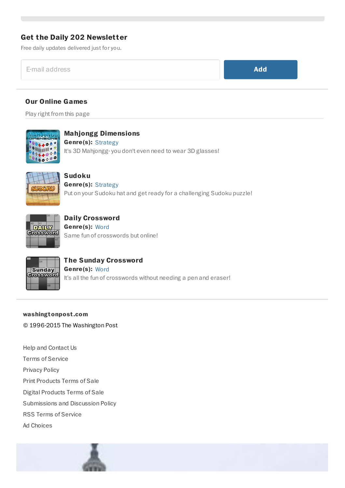## **Get the Daily 202 Newsletter**

Free daily updates delivered just for you.

E-mail address **Add**

#### **Our Online Games**

Play right from this page



**Genre(s):** Strategy **Mahjongg Dimensions** It's 3D Mahjongg- you don't even need to wear 3D glasses!



### **Genre(s):** Strategy **Sudoku** Put on your Sudoku hat and get ready for a challenging Sudoku puzzle!



#### **Genre(s):** Word **Daily Crossword** Same fun of crosswords but online!



## **Genre(s):** Word **The Sunday Crossword**

It's all the fun of crosswords without needing a pen and eraser!

#### **washingt [onpost.com](//www.washingtonpost.com)**

© 1996-2015 The Washington Post

Help and [Contact](//www.washingtonpost.com/actmgmt/help/) Us Terms of [Service](//www.washingtonpost.com/terms-of-service/2011/11/18/gIQAldiYiN_story.html) [Privacy](//www.washingtonpost.com/privacy-policy/2011/11/18/gIQASIiaiN_story.html) Policy Print [Products](//www.washingtonpost.com/terms-of-sale-for-print-products/2014/05/08/d60c4bc8-d6c0-11e3-aae8-c2d44bd79778_story.html) Terms of Sale Digital [Products](//www.washingtonpost.com/terms-of-sale-for-digital-products/2014/05/06/b7763844-cbf9-11e3-93eb-6c0037dde2ad_story.html) Terms of Sale [Submissions](//www.washingtonpost.com/discussion-and-submission-guidelines/2011/11/21/gIQAuvIbiN_story.html) and Discussion Policy RSS Terms of [Service](//www.washingtonpost.com/rss-terms-of-service/2012/01/16/gIQAadFYAQ_story.html) Ad [Choices](//www.washingtonpost.com/how-can-i-opt-out-of-online-advertising-cookies/2011/11/18/gIQABECbiN_story.html)